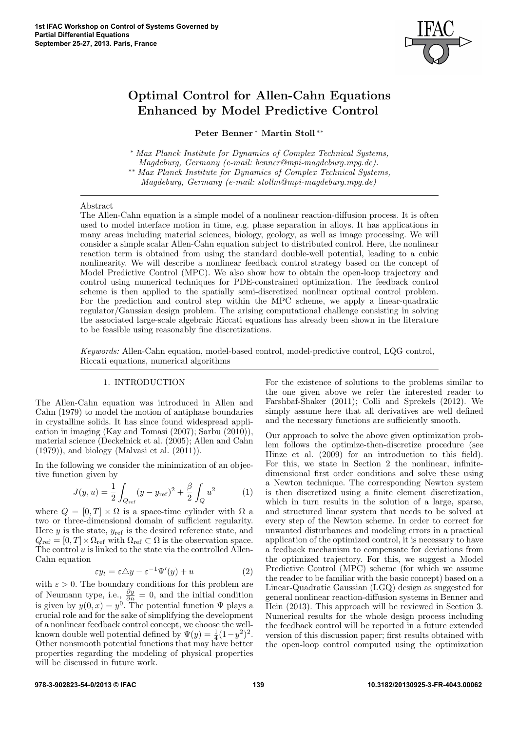

# Optimal Control for Allen-Cahn Equations Enhanced by Model Predictive Control

Peter Benner <sup>∗</sup> Martin Stoll ∗∗

<sup>∗</sup> Max Planck Institute for Dynamics of Complex Technical Systems, Magdeburg, Germany (e-mail: benner@mpi-magdeburg.mpg.de). ∗∗ Max Planck Institute for Dynamics of Complex Technical Systems, Magdeburg, Germany (e-mail: stollm@mpi-magdeburg.mpg.de)

#### Abstract

The Allen-Cahn equation is a simple model of a nonlinear reaction-diffusion process. It is often used to model interface motion in time, e.g. phase separation in alloys. It has applications in many areas including material sciences, biology, geology, as well as image processing. We will consider a simple scalar Allen-Cahn equation subject to distributed control. Here, the nonlinear reaction term is obtained from using the standard double-well potential, leading to a cubic nonlinearity. We will describe a nonlinear feedback control strategy based on the concept of Model Predictive Control (MPC). We also show how to obtain the open-loop trajectory and control using numerical techniques for PDE-constrained optimization. The feedback control scheme is then applied to the spatially semi-discretized nonlinear optimal control problem. For the prediction and control step within the MPC scheme, we apply a linear-quadratic regulator/Gaussian design problem. The arising computational challenge consisting in solving the associated large-scale algebraic Riccati equations has already been shown in the literature to be feasible using reasonably fine discretizations.

Keywords: Allen-Cahn equation, model-based control, model-predictive control, LQG control, Riccati equations, numerical algorithms

### 1. INTRODUCTION

The Allen-Cahn equation was introduced in Allen and Cahn (1979) to model the motion of antiphase boundaries in crystalline solids. It has since found widespread application in imaging (Kay and Tomasi (2007); Sarbu (2010)), material science (Deckelnick et al. (2005); Allen and Cahn (1979)), and biology (Malvasi et al. (2011)).

In the following we consider the minimization of an objective function given by

$$
J(y, u) = \frac{1}{2} \int_{Q_{\text{ref}}} (y - y_{\text{ref}})^2 + \frac{\beta}{2} \int_Q u^2 \tag{1}
$$

where  $Q = [0, T] \times \Omega$  is a space-time cylinder with  $\Omega$  a two or three-dimensional domain of sufficient regularity. Here y is the state,  $y_{ref}$  is the desired reference state, and  $Q_{\text{ref}} = [0, T] \times \Omega_{\text{ref}}$  with  $\Omega_{\text{ref}} \subset \Omega$  is the observation space. The control  $u$  is linked to the state via the controlled Allen-Cahn equation

$$
\varepsilon y_t = \varepsilon \triangle y - \varepsilon^{-1} \Psi'(y) + u \tag{2}
$$

with  $\varepsilon > 0$ . The boundary conditions for this problem are of Neumann type, i.e.,  $\frac{\partial y}{\partial n} = 0$ , and the initial condition is given by  $y(0, x) = y^0$ . The potential function  $\Psi$  plays a crucial role and for the sake of simplifying the development of a nonlinear feedback control concept, we choose the wellknown double well potential defined by  $\Psi(y) = \frac{1}{4}(1-y^2)^2$ . Other nonsmooth potential functions that may have better properties regarding the modeling of physical properties will be discussed in future work.

For the existence of solutions to the problems similar to the one given above we refer the interested reader to Farshbaf-Shaker (2011); Colli and Sprekels (2012). We simply assume here that all derivatives are well defined and the necessary functions are sufficiently smooth.

Our approach to solve the above given optimization problem follows the optimize-then-discretize procedure (see Hinze et al. (2009) for an introduction to this field). For this, we state in Section 2 the nonlinear, infinitedimensional first order conditions and solve these using a Newton technique. The corresponding Newton system is then discretized using a finite element discretization, which in turn results in the solution of a large, sparse, and structured linear system that needs to be solved at every step of the Newton scheme. In order to correct for unwanted disturbances and modeling errors in a practical application of the optimized control, it is necessary to have a feedback mechanism to compensate for deviations from the optimized trajectory. For this, we suggest a Model Predictive Control (MPC) scheme (for which we assume the reader to be familiar with the basic concept) based on a Linear-Quadratic Gaussian (LGQ) design as suggested for general nonlinear reaction-diffusion systems in Benner and Hein (2013). This approach will be reviewed in Section 3. Numerical results for the whole design process including the feedback control will be reported in a future extended version of this discussion paper; first results obtained with the open-loop control computed using the optimization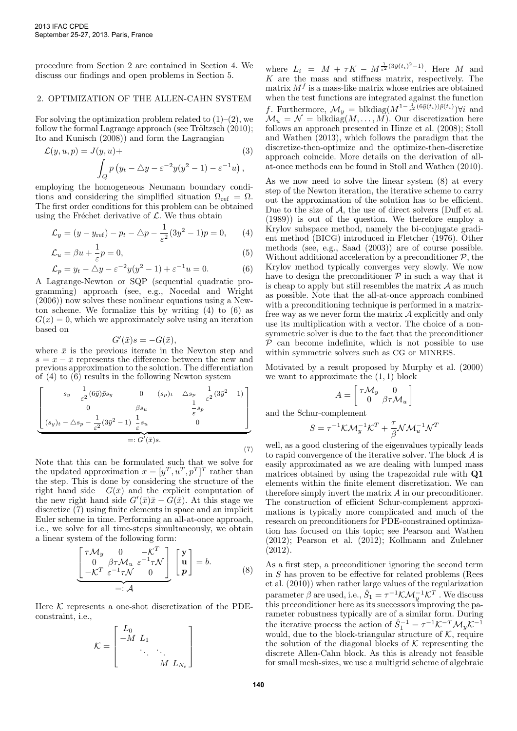procedure from Section 2 are contained in Section 4. We discuss our findings and open problems in Section 5.

# 2. OPTIMIZATION OF THE ALLEN-CAHN SYSTEM

For solving the optimization problem related to  $(1)$ – $(2)$ , we follow the formal Lagrange approach (see Tröltzsch  $(2010)$ ; Ito and Kunisch (2008)) and form the Lagrangian

$$
\mathcal{L}(y, u, p) = J(y, u) +
$$
\n
$$
\int_{Q} p(y_t - \Delta y - \varepsilon^{-2} y (y^2 - 1) - \varepsilon^{-1} u),
$$
\n(3)

employing the homogeneous Neumann boundary conditions and considering the simplified situation  $\Omega_{ref} = \Omega$ . The first order conditions for this problem can be obtained using the Fréchet derivative of  $\mathcal{L}$ . We thus obtain

$$
\mathcal{L}_y = (y - y_{\text{ref}}) - p_t - \Delta p - \frac{1}{\varepsilon^2} (3y^2 - 1)p = 0, \qquad (4)
$$

$$
\mathcal{L}_u = \beta u + \frac{1}{\varepsilon} p = 0,\tag{5}
$$

$$
\mathcal{L}_p = y_t - \Delta y - \varepsilon^{-2} y (y^2 - 1) + \varepsilon^{-1} u = 0.
$$
 (6)

A Lagrange-Newton or SQP (sequential quadratic programming) approach (see, e.g., Nocedal and Wright (2006)) now solves these nonlinear equations using a Newton scheme. We formalize this by writing (4) to (6) as  $G(x) = 0$ , which we approximately solve using an iteration based on

$$
G'(\bar{x})s = -G(\bar{x}),
$$

where  $\bar{x}$  is the previous iterate in the Newton step and  $s = x - \bar{x}$  represents the difference between the new and previous approximation to the solution. The differentiation of (4) to (6) results in the following Newton system

$$
\begin{bmatrix}\ns_y - \frac{1}{\varepsilon^2} (6\bar{y}) \bar{p}s_y & 0 & -(s_p)_t - \Delta s_p - \frac{1}{\varepsilon^2} (3\bar{y}^2 - 1) \\
0 & \beta s_u & \frac{1}{\varepsilon} s_p \\
(s_y)_t - \Delta s_p - \frac{1}{\varepsilon^2} (3\bar{y}^2 - 1) & \frac{1}{\varepsilon} s_u & 0\n\end{bmatrix}
$$
\n= :  $G'(\bar{x})s$ . (7)

Note that this can be formulated such that we solve for the updated approximation  $x = [y^T, u^T, p^T]^T$  rather than the step. This is done by considering the structure of the right hand side  $-G(\bar{x})$  and the explicit computation of the new right hand side  $G'(\bar{x})\bar{x} - \bar{G}(\bar{x})$ . At this stage we discretize (7) using finite elements in space and an implicit Euler scheme in time. Performing an all-at-once approach, i.e., we solve for all time-steps simultaneously, we obtain a linear system of the following form:

$$
\underbrace{\begin{bmatrix} \tau \mathcal{M}_y & 0 & -\mathcal{K}^T \\ 0 & \beta \tau \mathcal{M}_u & \varepsilon^{-1} \tau \mathcal{N} \\ -\mathcal{K}^T & \varepsilon^{-1} \tau \mathcal{N} & 0 \end{bmatrix}}_{=: \mathcal{A}} \begin{bmatrix} \mathbf{y} \\ \mathbf{u} \\ \mathbf{p} \end{bmatrix} = b.
$$
 (8)

Here  $K$  represents a one-shot discretization of the PDEconstraint, i.e.,

$$
\mathcal{K} = \begin{bmatrix} L_0 & & & \\ -M & L_1 & & \\ & \ddots & \ddots & \\ & & -M & L_{N_t} \end{bmatrix}
$$

where  $L_i = M + \tau K - M^{\frac{1}{\varepsilon^2}(3\bar{y}(t_i)^2 - 1)}$ . Here M and  $K$  are the mass and stiffness matrix, respectively. The matrix  $M<sup>f</sup>$  is a mass-like matrix whose entries are obtained when the test functions are integrated against the function f. Furthermore,  $\mathcal{M}_y = \text{blkdiag}(M^{1-\frac{1}{\varepsilon^2}(6\bar{y}(t_i))\bar{p}(t_i)})\forall i$  and  $\mathcal{M}_u = \mathcal{N} = \text{blkdiag}(M, \dots, \tilde{M})$ . Our discretization here follows an approach presented in Hinze et al. (2008); Stoll and Wathen (2013), which follows the paradigm that the discretize-then-optimize and the optimize-then-discretize approach coincide. More details on the derivation of allat-once methods can be found in Stoll and Wathen (2010).

As we now need to solve the linear system (8) at every step of the Newton iteration, the iterative scheme to carry out the approximation of the solution has to be efficient. Due to the size of  $A$ , the use of direct solvers (Duff et al. (1989)) is out of the question. We therefore employ a Krylov subspace method, namely the bi-conjugate gradient method (bicg) introduced in Fletcher (1976). Other methods (see, e.g., Saad (2003)) are of course possible. Without additional acceleration by a preconditioner  $P$ , the Krylov method typically converges very slowly. We now have to design the preconditioner  $\mathcal P$  in such a way that it is cheap to apply but still resembles the matrix  $A$  as much as possible. Note that the all-at-once approach combined with a preconditioning technique is performed in a matrixfree way as we never form the matrix  $A$  explicitly and only use its multiplication with a vector. The choice of a nonsymmetric solver is due to the fact that the preconditioner  $P$  can become indefinite, which is not possible to use within symmetric solvers such as CG or MINRES.

Motivated by a result proposed by Murphy et al. (2000) we want to approximate the  $(1, 1)$  block

$$
A = \begin{bmatrix} \tau \mathcal{M}_y & 0 \\ 0 & \beta \tau \mathcal{M}_u \end{bmatrix}
$$

and the Schur-complement

$$
S = \tau^{-1} \mathcal{K} \mathcal{M}_y^{-1} \mathcal{K}^T + \frac{\tau}{\beta} \mathcal{N} \mathcal{M}_u^{-1} \mathcal{N}^T
$$

well, as a good clustering of the eigenvalues typically leads to rapid convergence of the iterative solver. The block A is easily approximated as we are dealing with lumped mass matrices obtained by using the trapezoidal rule with Q1 elements within the finite element discretization. We can therefore simply invert the matrix A in our preconditioner. The construction of efficient Schur-complement approximations is typically more complicated and much of the research on preconditioners for PDE-constrained optimization has focused on this topic; see Pearson and Wathen (2012); Pearson et al. (2012); Kollmann and Zulehner (2012).

As a first step, a preconditioner ignoring the second term in S has proven to be effective for related problems (Rees et al. (2010)) when rather large values of the regularization parameter  $\beta$  are used, i.e.,  $\hat{S}_1 = \tau^{-1} \mathcal{K} \mathcal{M}_y^{-1} \mathcal{K}^T$  . We discuss this preconditioner here as its successors improving the parameter robustness typically are of a similar form. During the iterative process the action of  $\hat{S}_1^{-1} = \tau^{-1} \mathcal{K}^{-T} \mathcal{M}_y \mathcal{K}^{-1}$ would, due to the block-triangular structure of  $K$ , require the solution of the diagonal blocks of  $K$  representing the discrete Allen-Cahn block. As this is already not feasible for small mesh-sizes, we use a multigrid scheme of algebraic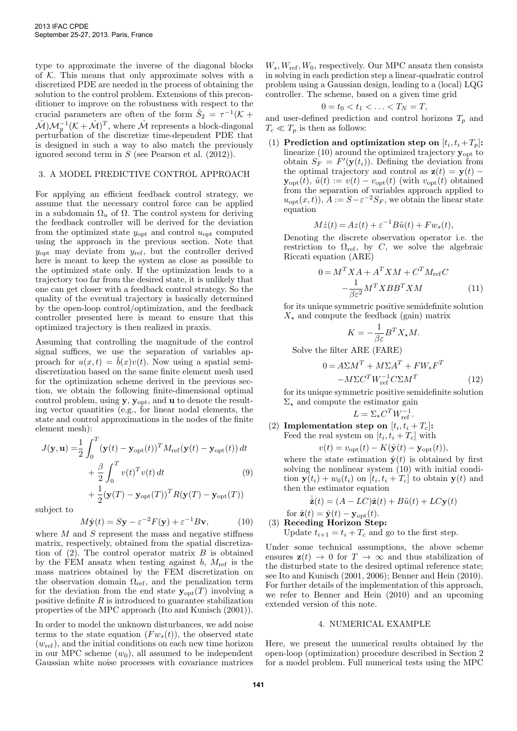type to approximate the inverse of the diagonal blocks of  $K$ . This means that only approximate solves with a discretized PDE are needed in the process of obtaining the solution to the control problem. Extensions of this preconditioner to improve on the robustness with respect to the crucial parameters are often of the form  $\hat{S}_2 = \tau^{-1}(\mathcal{K} + \mathcal{S}_1)$  $\hat{\mathcal{M}}\text{-}\mathcal{M}^{-1}_y(\mathcal{K}+\hat{\mathcal{M}})^T$ , where  $\hat{\mathcal{M}}$  represents a block-diagonal perturbation of the discretize time-dependent PDE that is designed in such a way to also match the previously ignored second term in  $S$  (see Pearson et al.  $(2012)$ ).

# 3. A MODEL PREDICTIVE CONTROL APPROACH

For applying an efficient feedback control strategy, we assume that the necessary control force can be applied in a subdomain  $\Omega_u$  of  $\Omega$ . The control system for deriving the feedback controller will be derived for the deviation from the optimized state  $y_{opt}$  and control  $u_{opt}$  computed using the approach in the previous section. Note that  $y_{\text{opt}}$  may deviate from  $y_{\text{ref}}$ , but the controller derived here is meant to keep the system as close as possible to the optimized state only. If the optimization leads to a trajectory too far from the desired state, it is unlikely that one can get closer with a feedback control strategy. So the quality of the eventual trajectory is basically determined by the open-loop control/optimization, and the feedback controller presented here is meant to ensure that this optimized trajectory is then realized in praxis.

Assuming that controlling the magnitude of the control signal suffices, we use the separation of variables approach for  $u(x,t) = b(x)v(t)$ . Now using a spatial semidiscretization based on the same finite element mesh used for the optimization scheme derived in the previous section, we obtain the following finite-dimensional optimal control problem, using  $y$ ,  $y_{opt}$ , and  $u$  to denote the resulting vector quantities (e.g., for linear nodal elements, the state and control approximations in the nodes of the finite element mesh):

$$
J(\mathbf{y}, \mathbf{u}) = \frac{1}{2} \int_0^T (\mathbf{y}(t) - \mathbf{y}_{\text{opt}}(t))^T M_{\text{ref}}(\mathbf{y}(t) - \mathbf{y}_{\text{opt}}(t)) dt + \frac{\beta}{2} \int_0^T v(t)^T v(t) dt
$$
(9)  
+  $\frac{1}{2} (\mathbf{y}(T) - \mathbf{y}_{\text{opt}}(T))^T R(\mathbf{y}(T) - \mathbf{y}_{\text{opt}}(T))$ 

subject to

$$
M\dot{\mathbf{y}}(t) = S\mathbf{y} - \varepsilon^{-2} F(\mathbf{y}) + \varepsilon^{-1} B\mathbf{v},\tag{10}
$$

where  $M$  and  $S$  represent the mass and negative stiffness matrix, respectively, obtained from the spatial discretization of  $(2)$ . The control operator matrix B is obtained by the FEM ansatz when testing against  $b$ ,  $M_{\text{ref}}$  is the mass matrices obtained by the FEM discretization on the observation domain  $\Omega_{ref}$ , and the penalization term for the deviation from the end state  $y_{\text{opt}}(T)$  involving a positive definite  $R$  is introduced to guarantee stabilization properties of the MPC approach (Ito and Kunisch (2001)).

In order to model the unknown disturbances, we add noise terms to the state equation  $(Fw_s(t))$ , the observed state  $(w_{\text{ref}})$ , and the initial conditions on each new time horizon in our MPC scheme  $(w_0)$ , all assumed to be independent Gaussian white noise processes with covariance matrices  $W_s, W_{\text{ref}}, W_0$ , respectively. Our MPC ansatz then consists in solving in each prediction step a linear-quadratic control problem using a Gaussian design, leading to a (local) LQG controller. The scheme, based on a given time grid

$$
0=t_0
$$

and user-defined prediction and control horizons  $T_p$  and  $T_c \ll T_p$  is then as follows:

(1) Prediction and optimization step on  $[t_i, t_i + T_p]$ : linearize  $(10)$  around the optimized trajectory  $\mathbf{y}_{\text{opt}}$  to obtain  $S_F = F'(\mathbf{y}(t_i))$ . Defining the deviation from the optimal trajectory and control as  $z(t) = y(t)$  –  $\mathbf{y}_{\text{opt}}(t)$ ,  $\tilde{u}(t) := v(t) - v_{\text{opt}}(t)$  (with  $v_{\text{opt}}(t)$  obtained from the separation of variables approach applied to  $u_{\text{opt}}(x,t)$ ,  $\overline{A} := S - \varepsilon^{-2} S_F$ , we obtain the linear state equation

$$
M\dot{z}(t) = Az(t) + \varepsilon^{-1}B\tilde{u}(t) + Fw_s(t),
$$

Denoting the discrete observation operator i.e. the restriction to  $\Omega_{\text{ref}}$ , by C, we solve the algebraic Riccati equation (ARE)

$$
0 = M^T X A + A^T X M + C^T M_{\text{ref}} C
$$

$$
-\frac{1}{\beta \varepsilon^2} M^T X B B^T X M \tag{11}
$$

for its unique symmetric positive semidefinite solution  $X_{\star}$  and compute the feedback (gain) matrix

$$
K = -\frac{1}{\beta \varepsilon} B^T X_\star M.
$$

Solve the filter ARE (FARE)

$$
0 = A\Sigma M^T + M\Sigma A^T + FW_s F^T
$$

$$
-M\Sigma C^T W_{\text{ref}}^{-1} C\Sigma M^T
$$
(12)

for its unique symmetric positive semidefinite solution  $\Sigma_{\star}$  and compute the estimator gain

$$
L = \Sigma_{\star} C^T W_{\text{ref}}^{-1}.
$$

(2) Implementation step on  $[t_i, t_i + T_c]$ : Feed the real system on  $[t_i, t_i + T_c]$  with

$$
v(t) = v_{\text{opt}}(t) - K(\hat{\mathbf{y}}(t) - \mathbf{y}_{\text{opt}}(t)),
$$

where the state estimation  $\hat{\mathbf{y}}(t)$  is obtained by first solving the nonlinear system (10) with initial condition  $\mathbf{y}(t_i) + w_0(t_i)$  on  $[t_i, t_i + T_c]$  to obtain  $\mathbf{y}(t)$  and then the estimator equation

$$
\dot{\hat{\mathbf{z}}}(t) = (A - LC)\hat{\mathbf{z}}(t) + B\tilde{u}(t) + LC\mathbf{y}(t)
$$

for  $\hat{\mathbf{z}}(t) = \hat{\mathbf{y}}(t) - \mathbf{y}_{\text{opt}}(t)$ .

(3) Receding Horizon Step:

Update  $t_{i+1} = t_i + T_c$  and go to the first step.

Under some technical assumptions, the above scheme ensures  $z(t) \rightarrow 0$  for  $T \rightarrow \infty$  and thus stabilization of the disturbed state to the desired optimal reference state; see Ito and Kunisch (2001, 2006); Benner and Hein (2010). For further details of the implementation of this approach, we refer to Benner and Hein (2010) and an upcoming extended version of this note.

## 4. NUMERICAL EXAMPLE

Here, we present the numerical results obtained by the open-loop (optimization) procedure described in Section 2 for a model problem. Full numerical tests using the MPC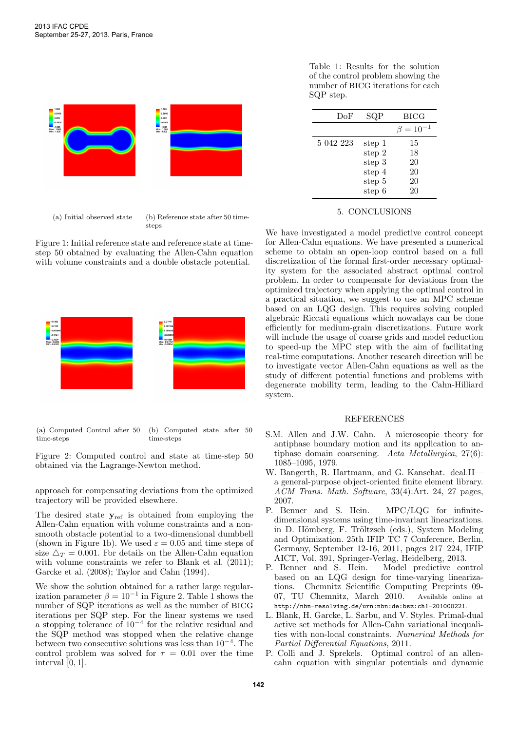

(a) Initial observed state (b) Reference state after 50 timesteps

Figure 1: Initial reference state and reference state at timestep 50 obtained by evaluating the Allen-Cahn equation with volume constraints and a double obstacle potential.



(a) Computed Control after 50 time-steps (b) Computed state after 50 time-steps

Figure 2: Computed control and state at time-step 50 obtained via the Lagrange-Newton method.

approach for compensating deviations from the optimized trajectory will be provided elsewhere.

The desired state  $y_{ref}$  is obtained from employing the Allen-Cahn equation with volume constraints and a nonsmooth obstacle potential to a two-dimensional dumbbell (shown in Figure 1b). We used  $\varepsilon = 0.05$  and time steps of size  $\Delta_T = 0.001$ . For details on the Allen-Cahn equation with volume constraints we refer to Blank et al.  $(2011)$ ; Garcke et al. (2008); Taylor and Cahn (1994).

We show the solution obtained for a rather large regularization parameter  $\beta = 10^{-1}$  in Figure 2. Table 1 shows the number of SQP iterations as well as the number of bicg iterations per SQP step. For the linear systems we used a stopping tolerance of 10<sup>−</sup><sup>4</sup> for the relative residual and the SQP method was stopped when the relative change between two consecutive solutions was less than 10<sup>−</sup><sup>4</sup> . The control problem was solved for  $\tau = 0.01$  over the time interval [0, 1].

Table 1: Results for the solution of the control problem showing the number of BICG iterations for each SQP step.

 $\overline{\phantom{a}}$ 

| DoF<br>SQP<br><b>BICG</b><br>$\beta = 10^{-1}$<br>5 042 223<br>15<br>step 1  |  |  |
|------------------------------------------------------------------------------|--|--|
|                                                                              |  |  |
|                                                                              |  |  |
| step 2<br>18<br>20<br>step 3<br>20<br>step 4<br>20<br>step 5<br>step 6<br>20 |  |  |

# 5. CONCLUSIONS

We have investigated a model predictive control concept for Allen-Cahn equations. We have presented a numerical scheme to obtain an open-loop control based on a full discretization of the formal first-order necessary optimality system for the associated abstract optimal control problem. In order to compensate for deviations from the optimized trajectory when applying the optimal control in a practical situation, we suggest to use an MPC scheme based on an LQG design. This requires solving coupled algebraic Riccati equations which nowadays can be done efficiently for medium-grain discretizations. Future work will include the usage of coarse grids and model reduction to speed-up the MPC step with the aim of facilitating real-time computations. Another research direction will be to investigate vector Allen-Cahn equations as well as the study of different potential functions and problems with degenerate mobility term, leading to the Cahn-Hilliard system.

#### REFERENCES

- S.M. Allen and J.W. Cahn. A microscopic theory for antiphase boundary motion and its application to antiphase domain coarsening. Acta Metallurgica, 27(6): 1085–1095, 1979.
- W. Bangerth, R. Hartmann, and G. Kanschat. deal.II a general-purpose object-oriented finite element library. ACM Trans. Math. Software, 33(4):Art. 24, 27 pages, 2007.
- P. Benner and S. Hein. MPC/LQG for infinitedimensional systems using time-invariant linearizations. in D. Hömberg, F. Tröltzsch (eds.), System Modeling and Optimization. 25th IFIP TC 7 Conference, Berlin, Germany, September 12-16, 2011, pages 217–224, IFIP AICT, Vol. 391, Springer-Verlag, Heidelberg, 2013.
- P. Benner and S. Hein. Model predictive control based on an LQG design for time-varying linearizations. Chemnitz Scientific Computing Preprints 09- 07, TU Chemnitz, March 2010. Available online at http://nbn-resolving.de/urn:nbn:de:bsz:ch1-201000221.
- L. Blank, H. Garcke, L. Sarbu, and V. Styles. Primal-dual active set methods for Allen-Cahn variational inequalities with non-local constraints. Numerical Methods for Partial Differential Equations, 2011.
- P. Colli and J. Sprekels. Optimal control of an allencahn equation with singular potentials and dynamic